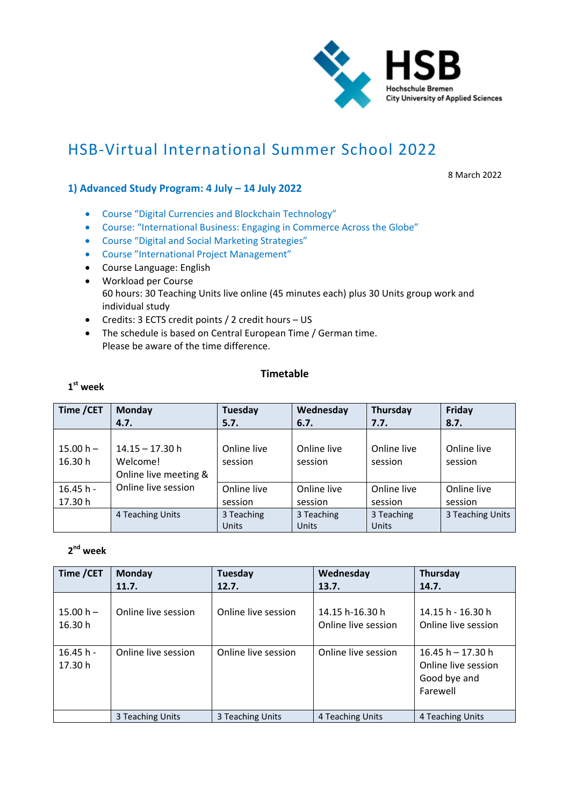

# HSB‐Virtual International Summer School 2022

8 March 2022

## **1) Advanced Study Program: 4 July – 14 July 2022**

- Course "Digital Currencies and Blockchain Technology"
- Course: "International Business: Engaging in Commerce Across the Globe"
- Course "Digital and Social Marketing Strategies"
- Course "International Project Management"
- Course Language: English
- Workload per Course 60 hours: 30 Teaching Units live online (45 minutes each) plus 30 Units group work and individual study
- Credits: 3 ECTS credit points / 2 credit hours US
- The schedule is based on Central European Time / German time. Please be aware of the time difference.

#### **Timetable**

#### **1st week**

| Time / CET             | Monday                                                 | Tuesday                    | Wednesday                  | Thursday               | Friday                 |
|------------------------|--------------------------------------------------------|----------------------------|----------------------------|------------------------|------------------------|
|                        | 4.7.                                                   | 5.7.                       | 6.7.                       | 7.7.                   | 8.7.                   |
| $15.00 h -$<br>16.30 h | $14.15 - 17.30$ h<br>Welcome!<br>Online live meeting & | Online live<br>session     | Online live<br>session     | Online live<br>session | Online live<br>session |
| $16.45 h -$<br>17.30 h | Online live session                                    | Online live<br>session     | Online live<br>session     | Online live<br>session | Online live<br>session |
|                        | 4 Teaching Units                                       | 3 Teaching<br><b>Units</b> | 3 Teaching<br><b>Units</b> | 3 Teaching<br>Units    | 3 Teaching Units       |

## **2nd week**

| Time / CET            | Monday              | Tuesday             | Wednesday                              | Thursday                                                               |
|-----------------------|---------------------|---------------------|----------------------------------------|------------------------------------------------------------------------|
|                       | 11.7.               | 12.7.               | 13.7.                                  | 14.7.                                                                  |
| $15.00 h -$<br>16.30h | Online live session | Online live session | 14.15 h-16.30 h<br>Online live session | 14.15 h - 16.30 h<br>Online live session                               |
| $16.45 h -$<br>17.30h | Online live session | Online live session | Online live session                    | $16.45 h - 17.30 h$<br>Online live session<br>Good bye and<br>Farewell |
|                       | 3 Teaching Units    | 3 Teaching Units    | 4 Teaching Units                       | 4 Teaching Units                                                       |